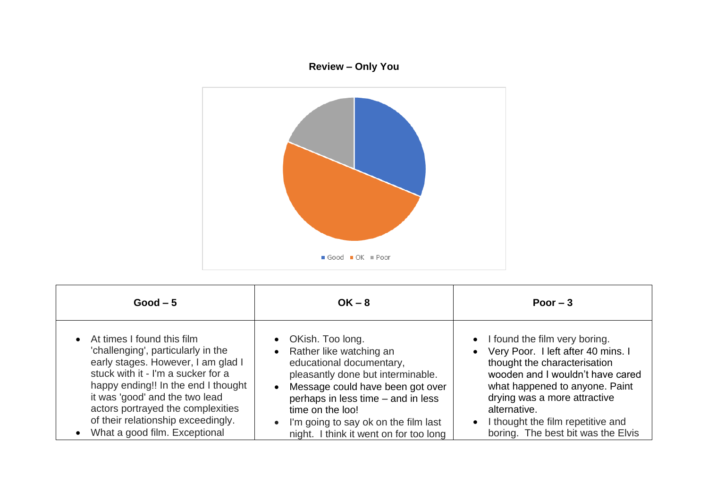## **Review – Only You**



| $Good-5$                                                                                                                                                                                                                                                                                                                            | $OK - 8$                                                                                                                                                                                                                                                                                                                   | Poor $-3$                                                                                                                                                                                                                                                                                                             |
|-------------------------------------------------------------------------------------------------------------------------------------------------------------------------------------------------------------------------------------------------------------------------------------------------------------------------------------|----------------------------------------------------------------------------------------------------------------------------------------------------------------------------------------------------------------------------------------------------------------------------------------------------------------------------|-----------------------------------------------------------------------------------------------------------------------------------------------------------------------------------------------------------------------------------------------------------------------------------------------------------------------|
| • At times I found this film<br>'challenging', particularly in the<br>early stages. However, I am glad I<br>stuck with it - I'm a sucker for a<br>happy ending!! In the end I thought<br>it was 'good' and the two lead<br>actors portrayed the complexities<br>of their relationship exceedingly.<br>What a good film. Exceptional | • OKish. Too long.<br>• Rather like watching an<br>educational documentary,<br>pleasantly done but interminable.<br>Message could have been got over<br>$\bullet$<br>perhaps in less time - and in less<br>time on the loo!<br>I'm going to say ok on the film last<br>$\bullet$<br>night. I think it went on for too long | • I found the film very boring.<br>• Very Poor. I left after 40 mins. I<br>thought the characterisation<br>wooden and I wouldn't have cared<br>what happened to anyone. Paint<br>drying was a more attractive<br>alternative.<br>I thought the film repetitive and<br>$\bullet$<br>boring. The best bit was the Elvis |